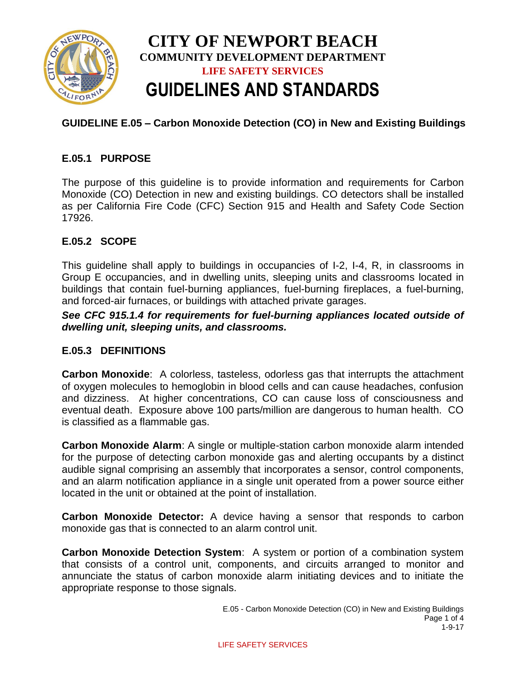

# **GUIDELINE E.05 – Carbon Monoxide Detection (CO) in New and Existing Buildings**

# **E.05.1 PURPOSE**

The purpose of this guideline is to provide information and requirements for Carbon Monoxide (CO) Detection in new and existing buildings. CO detectors shall be installed as per California Fire Code (CFC) Section 915 and Health and Safety Code Section 17926.

## **E.05.2 SCOPE**

This guideline shall apply to buildings in occupancies of I-2, I-4, R, in classrooms in Group E occupancies, and in dwelling units, sleeping units and classrooms located in buildings that contain fuel-burning appliances, fuel-burning fireplaces, a fuel-burning, and forced-air furnaces, or buildings with attached private garages.

*See CFC 915.1.4 for requirements for fuel-burning appliances located outside of dwelling unit, sleeping units, and classrooms.* 

#### **E.05.3 DEFINITIONS**

**Carbon Monoxide**: A colorless, tasteless, odorless gas that interrupts the attachment of oxygen molecules to hemoglobin in blood cells and can cause headaches, confusion and dizziness. At higher concentrations, CO can cause loss of consciousness and eventual death. Exposure above 100 parts/million are dangerous to human health. CO is classified as a flammable gas.

**Carbon Monoxide Alarm**: A single or multiple-station carbon monoxide alarm intended for the purpose of detecting carbon monoxide gas and alerting occupants by a distinct audible signal comprising an assembly that incorporates a sensor, control components, and an alarm notification appliance in a single unit operated from a power source either located in the unit or obtained at the point of installation.

**Carbon Monoxide Detector:** A device having a sensor that responds to carbon monoxide gas that is connected to an alarm control unit.

**Carbon Monoxide Detection System**: A system or portion of a combination system that consists of a control unit, components, and circuits arranged to monitor and annunciate the status of carbon monoxide alarm initiating devices and to initiate the appropriate response to those signals.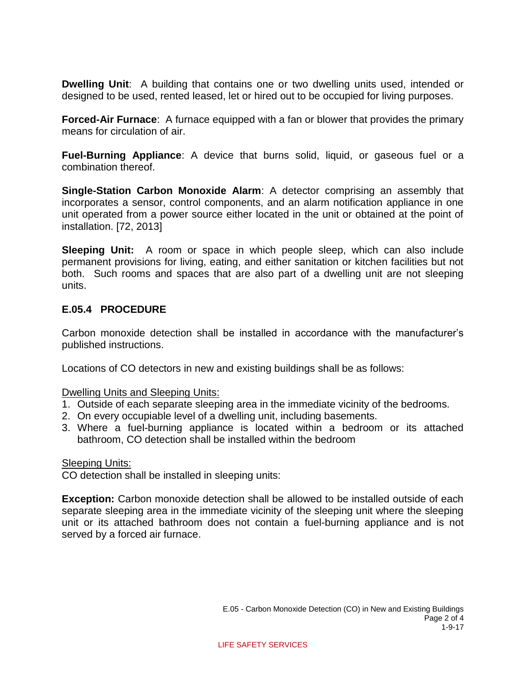**Dwelling Unit**: A building that contains one or two dwelling units used, intended or designed to be used, rented leased, let or hired out to be occupied for living purposes.

**Forced-Air Furnace:** A furnace equipped with a fan or blower that provides the primary means for circulation of air.

**Fuel-Burning Appliance**: A device that burns solid, liquid, or gaseous fuel or a combination thereof.

**Single-Station Carbon Monoxide Alarm**: A detector comprising an assembly that incorporates a sensor, control components, and an alarm notification appliance in one unit operated from a power source either located in the unit or obtained at the point of installation. [72, 2013]

**Sleeping Unit:** A room or space in which people sleep, which can also include permanent provisions for living, eating, and either sanitation or kitchen facilities but not both. Such rooms and spaces that are also part of a dwelling unit are not sleeping units.

## **E.05.4 PROCEDURE**

Carbon monoxide detection shall be installed in accordance with the manufacturer's published instructions.

Locations of CO detectors in new and existing buildings shall be as follows:

Dwelling Units and Sleeping Units:

- 1. Outside of each separate sleeping area in the immediate vicinity of the bedrooms.
- 2. On every occupiable level of a dwelling unit, including basements.
- 3. Where a fuel-burning appliance is located within a bedroom or its attached bathroom, CO detection shall be installed within the bedroom

#### Sleeping Units:

CO detection shall be installed in sleeping units:

**Exception:** Carbon monoxide detection shall be allowed to be installed outside of each separate sleeping area in the immediate vicinity of the sleeping unit where the sleeping unit or its attached bathroom does not contain a fuel-burning appliance and is not served by a forced air furnace.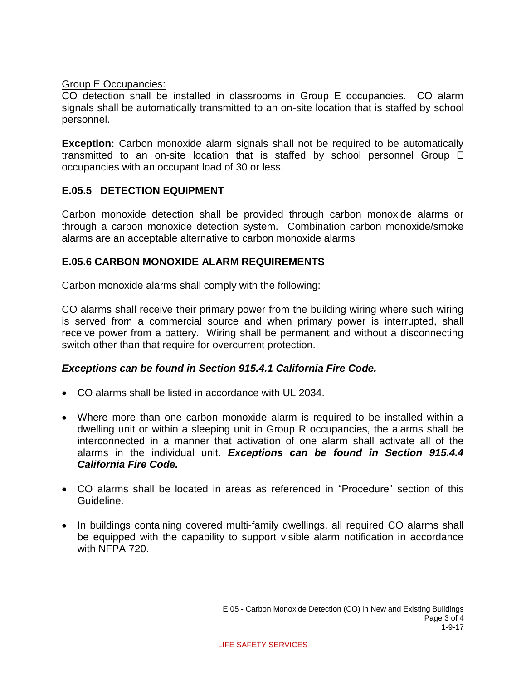#### Group E Occupancies:

CO detection shall be installed in classrooms in Group E occupancies. CO alarm signals shall be automatically transmitted to an on-site location that is staffed by school personnel.

**Exception:** Carbon monoxide alarm signals shall not be required to be automatically transmitted to an on-site location that is staffed by school personnel Group E occupancies with an occupant load of 30 or less.

## **E.05.5 DETECTION EQUIPMENT**

Carbon monoxide detection shall be provided through carbon monoxide alarms or through a carbon monoxide detection system. Combination carbon monoxide/smoke alarms are an acceptable alternative to carbon monoxide alarms

# **E.05.6 CARBON MONOXIDE ALARM REQUIREMENTS**

Carbon monoxide alarms shall comply with the following:

CO alarms shall receive their primary power from the building wiring where such wiring is served from a commercial source and when primary power is interrupted, shall receive power from a battery. Wiring shall be permanent and without a disconnecting switch other than that require for overcurrent protection.

## *Exceptions can be found in Section 915.4.1 California Fire Code.*

- CO alarms shall be listed in accordance with UL 2034.
- Where more than one carbon monoxide alarm is required to be installed within a dwelling unit or within a sleeping unit in Group R occupancies, the alarms shall be interconnected in a manner that activation of one alarm shall activate all of the alarms in the individual unit. *Exceptions can be found in Section 915.4.4 California Fire Code.*
- CO alarms shall be located in areas as referenced in "Procedure" section of this Guideline.
- In buildings containing covered multi-family dwellings, all required CO alarms shall be equipped with the capability to support visible alarm notification in accordance with NFPA 720.